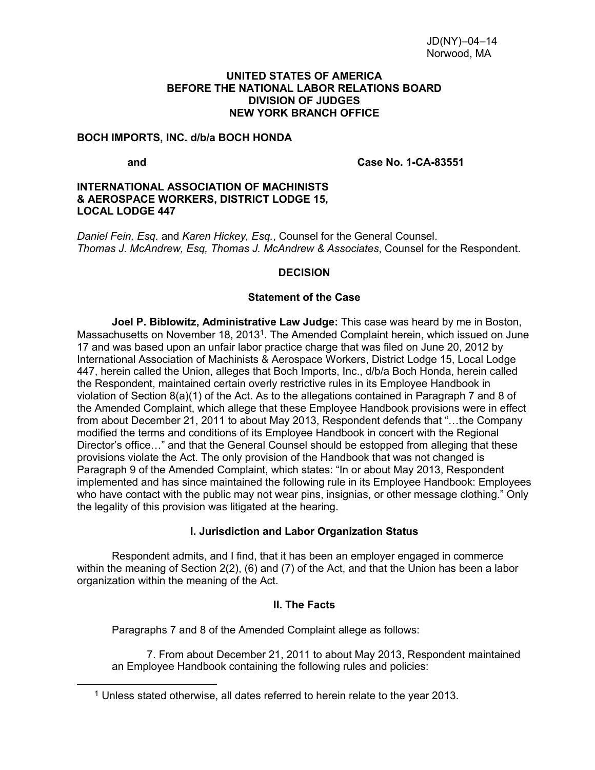#### **UNITED STATES OF AMERICA BEFORE THE NATIONAL LABOR RELATIONS BOARD DIVISION OF JUDGES NEW YORK BRANCH OFFICE**

#### **BOCH IMPORTS, INC. d/b/a BOCH HONDA**

<span id="page-0-0"></span> $\overline{a}$ 

 **and Case No. 1-CA-83551** 

### **INTERNATIONAL ASSOCIATION OF MACHINISTS & AEROSPACE WORKERS, DISTRICT LODGE 15, LOCAL LODGE 447**

*Daniel Fein, Esq.* and *Karen Hickey, Esq.*, Counsel for the General Counsel. *Thomas J. McAndrew, Esq, Thomas J. McAndrew & Associates*, Counsel for the Respondent.

## **DECISION**

### **Statement of the Case**

**Joel P. Biblowitz, Administrative Law Judge:** This case was heard by me in Boston, Massachusetts on November 18, 2013[1](#page-0-0). The Amended Complaint herein, which issued on June 17 and was based upon an unfair labor practice charge that was filed on June 20, 2012 by International Association of Machinists & Aerospace Workers, District Lodge 15, Local Lodge 447, herein called the Union, alleges that Boch Imports, Inc., d/b/a Boch Honda, herein called the Respondent, maintained certain overly restrictive rules in its Employee Handbook in violation of Section 8(a)(1) of the Act. As to the allegations contained in Paragraph 7 and 8 of the Amended Complaint, which allege that these Employee Handbook provisions were in effect from about December 21, 2011 to about May 2013, Respondent defends that "…the Company modified the terms and conditions of its Employee Handbook in concert with the Regional Director's office…" and that the General Counsel should be estopped from alleging that these provisions violate the Act. The only provision of the Handbook that was not changed is Paragraph 9 of the Amended Complaint, which states: "In or about May 2013, Respondent implemented and has since maintained the following rule in its Employee Handbook: Employees who have contact with the public may not wear pins, insignias, or other message clothing." Only the legality of this provision was litigated at the hearing.

## **I. Jurisdiction and Labor Organization Status**

Respondent admits, and I find, that it has been an employer engaged in commerce within the meaning of Section 2(2), (6) and (7) of the Act, and that the Union has been a labor organization within the meaning of the Act.

## **II. The Facts**

Paragraphs 7 and 8 of the Amended Complaint allege as follows:

7. From about December 21, 2011 to about May 2013, Respondent maintained an Employee Handbook containing the following rules and policies:

<sup>1</sup> Unless stated otherwise, all dates referred to herein relate to the year 2013.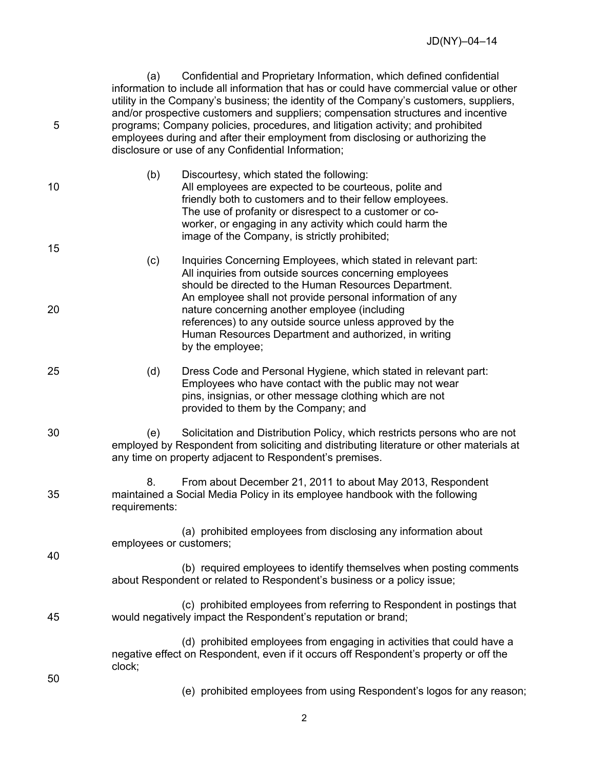(a) Confidential and Proprietary Information, which defined confidential information to include all information that has or could have commercial value or other utility in the Company's business; the identity of the Company's customers, suppliers, and/or prospective customers and suppliers; compensation structures and incentive 5 programs; Company policies, procedures, and litigation activity; and prohibited employees during and after their employment from disclosing or authorizing the disclosure or use of any Confidential Information;

- (b) Discourtesy, which stated the following: 10 All employees are expected to be courteous, polite and friendly both to customers and to their fellow employees. The use of profanity or disrespect to a customer or coworker, or engaging in any activity which could harm the image of the Company, is strictly prohibited; 15
- (c) Inquiries Concerning Employees, which stated in relevant part: All inquiries from outside sources concerning employees should be directed to the Human Resources Department. An employee shall not provide personal information of any 20 nature concerning another employee (including references) to any outside source unless approved by the Human Resources Department and authorized, in writing by the employee;
- 25 (d) Dress Code and Personal Hygiene, which stated in relevant part: Employees who have contact with the public may not wear pins, insignias, or other message clothing which are not provided to them by the Company; and
- 30 (e) Solicitation and Distribution Policy, which restricts persons who are not employed by Respondent from soliciting and distributing literature or other materials at any time on property adjacent to Respondent's premises.
- 8. From about December 21, 2011 to about May 2013, Respondent 35 maintained a Social Media Policy in its employee handbook with the following requirements:
	- (a) prohibited employees from disclosing any information about employees or customers;
		- (b) required employees to identify themselves when posting comments about Respondent or related to Respondent's business or a policy issue;
- (c) prohibited employees from referring to Respondent in postings that 45 would negatively impact the Respondent's reputation or brand;
	- (d) prohibited employees from engaging in activities that could have a negative effect on Respondent, even if it occurs off Respondent's property or off the clock;
- 50

40

(e) prohibited employees from using Respondent's logos for any reason;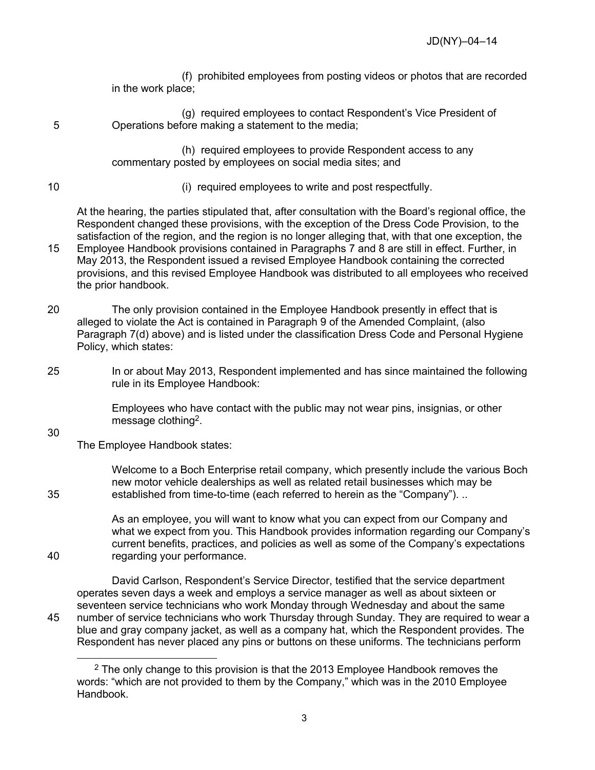(f) prohibited employees from posting videos or photos that are recorded in the work place;

(g) required employees to contact Respondent's Vice President of 5 Operations before making a statement to the media;

> (h) required employees to provide Respondent access to any commentary posted by employees on social media sites; and

- 
- 10 (i) required employees to write and post respectfully.

At the hearing, the parties stipulated that, after consultation with the Board's regional office, the Respondent changed these provisions, with the exception of the Dress Code Provision, to the satisfaction of the region, and the region is no longer alleging that, with that one exception, the 15 Employee Handbook provisions contained in Paragraphs 7 and 8 are still in effect. Further, in

- May 2013, the Respondent issued a revised Employee Handbook containing the corrected provisions, and this revised Employee Handbook was distributed to all employees who received the prior handbook.
- 20 The only provision contained in the Employee Handbook presently in effect that is alleged to violate the Act is contained in Paragraph 9 of the Amended Complaint, (also Paragraph 7(d) above) and is listed under the classification Dress Code and Personal Hygiene Policy, which states:
- 25 In or about May 2013, Respondent implemented and has since maintained the following rule in its Employee Handbook:

Employees who have contact with the public may not wear pins, insignias, or other message clothing[2](#page-2-0).

30

The Employee Handbook states:

Welcome to a Boch Enterprise retail company, which presently include the various Boch new motor vehicle dealerships as well as related retail businesses which may be 35 established from time-to-time (each referred to herein as the "Company"). ..

As an employee, you will want to know what you can expect from our Company and what we expect from you. This Handbook provides information regarding our Company's current benefits, practices, and policies as well as some of the Company's expectations 40 regarding your performance.

David Carlson, Respondent's Service Director, testified that the service department operates seven days a week and employs a service manager as well as about sixteen or seventeen service technicians who work Monday through Wednesday and about the same 45 number of service technicians who work Thursday through Sunday. They are required to wear a blue and gray company jacket, as well as a company hat, which the Respondent provides. The Respondent has never placed any pins or buttons on these uniforms. The technicians perform

<span id="page-2-0"></span> $\overline{a}$ <sup>2</sup> The only change to this provision is that the 2013 Employee Handbook removes the words: "which are not provided to them by the Company," which was in the 2010 Employee Handbook.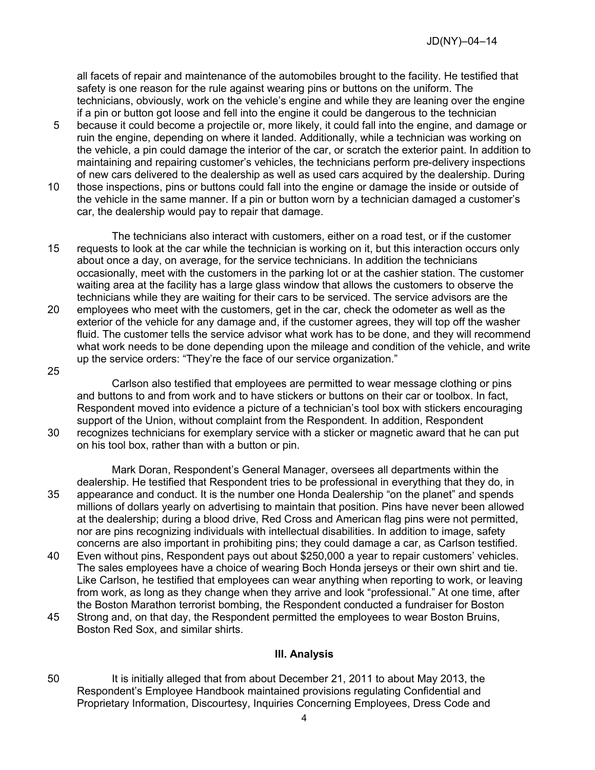all facets of repair and maintenance of the automobiles brought to the facility. He testified that safety is one reason for the rule against wearing pins or buttons on the uniform. The technicians, obviously, work on the vehicle's engine and while they are leaning over the engine if a pin or button got loose and fell into the engine it could be dangerous to the technician

- 5 because it could become a projectile or, more likely, it could fall into the engine, and damage or ruin the engine, depending on where it landed. Additionally, while a technician was working on the vehicle, a pin could damage the interior of the car, or scratch the exterior paint. In addition to maintaining and repairing customer's vehicles, the technicians perform pre-delivery inspections of new cars delivered to the dealership as well as used cars acquired by the dealership. During
- 10 those inspections, pins or buttons could fall into the engine or damage the inside or outside of the vehicle in the same manner. If a pin or button worn by a technician damaged a customer's car, the dealership would pay to repair that damage.
- The technicians also interact with customers, either on a road test, or if the customer 15 requests to look at the car while the technician is working on it, but this interaction occurs only about once a day, on average, for the service technicians. In addition the technicians occasionally, meet with the customers in the parking lot or at the cashier station. The customer waiting area at the facility has a large glass window that allows the customers to observe the technicians while they are waiting for their cars to be serviced. The service advisors are the 20 employees who meet with the customers, get in the car, check the odometer as well as the exterior of the vehicle for any damage and, if the customer agrees, they will top off the washer fluid. The customer tells the service advisor what work has to be done, and they will recommend what work needs to be done depending upon the mileage and condition of the vehicle, and write up the service orders: "They're the face of our service organization."
- 25

Carlson also testified that employees are permitted to wear message clothing or pins and buttons to and from work and to have stickers or buttons on their car or toolbox. In fact, Respondent moved into evidence a picture of a technician's tool box with stickers encouraging support of the Union, without complaint from the Respondent. In addition, Respondent

- 30 recognizes technicians for exemplary service with a sticker or magnetic award that he can put on his tool box, rather than with a button or pin.
- Mark Doran, Respondent's General Manager, oversees all departments within the dealership. He testified that Respondent tries to be professional in everything that they do, in 35 appearance and conduct. It is the number one Honda Dealership "on the planet" and spends millions of dollars yearly on advertising to maintain that position. Pins have never been allowed at the dealership; during a blood drive, Red Cross and American flag pins were not permitted, nor are pins recognizing individuals with intellectual disabilities. In addition to image, safety concerns are also important in prohibiting pins; they could damage a car, as Carlson testified.
- 40 Even without pins, Respondent pays out about \$250,000 a year to repair customers' vehicles. The sales employees have a choice of wearing Boch Honda jerseys or their own shirt and tie. Like Carlson, he testified that employees can wear anything when reporting to work, or leaving from work, as long as they change when they arrive and look "professional." At one time, after the Boston Marathon terrorist bombing, the Respondent conducted a fundraiser for Boston
- 45 Strong and, on that day, the Respondent permitted the employees to wear Boston Bruins, Boston Red Sox, and similar shirts.

## **III. Analysis**

50 It is initially alleged that from about December 21, 2011 to about May 2013, the Respondent's Employee Handbook maintained provisions regulating Confidential and Proprietary Information, Discourtesy, Inquiries Concerning Employees, Dress Code and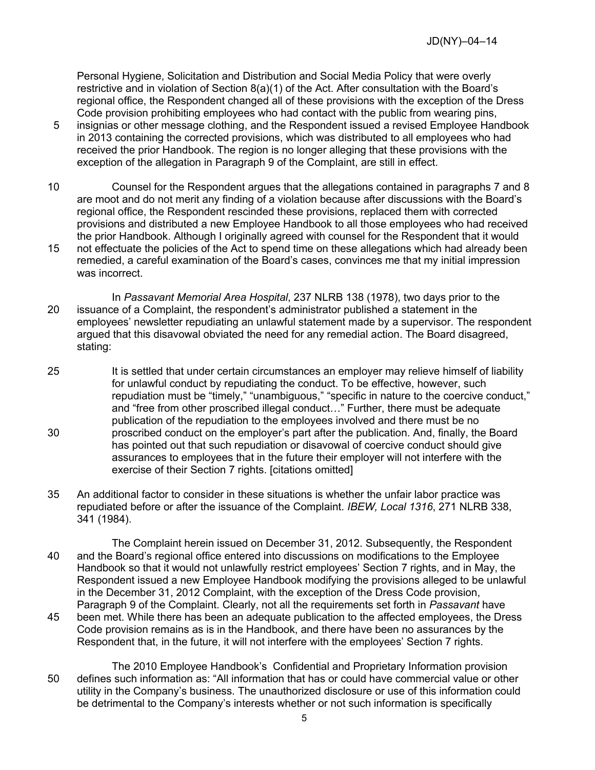Personal Hygiene, Solicitation and Distribution and Social Media Policy that were overly restrictive and in violation of Section 8(a)(1) of the Act. After consultation with the Board's regional office, the Respondent changed all of these provisions with the exception of the Dress Code provision prohibiting employees who had contact with the public from wearing pins,

- 5 insignias or other message clothing, and the Respondent issued a revised Employee Handbook in 2013 containing the corrected provisions, which was distributed to all employees who had received the prior Handbook. The region is no longer alleging that these provisions with the exception of the allegation in Paragraph 9 of the Complaint, are still in effect.
- 10 Counsel for the Respondent argues that the allegations contained in paragraphs 7 and 8 are moot and do not merit any finding of a violation because after discussions with the Board's regional office, the Respondent rescinded these provisions, replaced them with corrected provisions and distributed a new Employee Handbook to all those employees who had received the prior Handbook. Although I originally agreed with counsel for the Respondent that it would
- 15 not effectuate the policies of the Act to spend time on these allegations which had already been remedied, a careful examination of the Board's cases, convinces me that my initial impression was incorrect.
- In *Passavant Memorial Area Hospital*, 237 NLRB 138 (1978), two days prior to the 20 issuance of a Complaint, the respondent's administrator published a statement in the employees' newsletter repudiating an unlawful statement made by a supervisor. The respondent argued that this disavowal obviated the need for any remedial action. The Board disagreed, stating:
- 25 It is settled that under certain circumstances an employer may relieve himself of liability for unlawful conduct by repudiating the conduct. To be effective, however, such repudiation must be "timely," "unambiguous," "specific in nature to the coercive conduct," and "free from other proscribed illegal conduct…" Further, there must be adequate publication of the repudiation to the employees involved and there must be no 30 proscribed conduct on the employer's part after the publication. And, finally, the Board has pointed out that such repudiation or disavowal of coercive conduct should give assurances to employees that in the future their employer will not interfere with the exercise of their Section 7 rights. [citations omitted]
- 35 An additional factor to consider in these situations is whether the unfair labor practice was repudiated before or after the issuance of the Complaint. *IBEW, Local 1316*, 271 NLRB 338, 341 (1984).
- The Complaint herein issued on December 31, 2012. Subsequently, the Respondent 40 and the Board's regional office entered into discussions on modifications to the Employee Handbook so that it would not unlawfully restrict employees' Section 7 rights, and in May, the Respondent issued a new Employee Handbook modifying the provisions alleged to be unlawful in the December 31, 2012 Complaint, with the exception of the Dress Code provision, Paragraph 9 of the Complaint. Clearly, not all the requirements set forth in *Passavant* have 45 been met. While there has been an adequate publication to the affected employees, the Dress Code provision remains as is in the Handbook, and there have been no assurances by the Respondent that, in the future, it will not interfere with the employees' Section 7 rights.
- The 2010 Employee Handbook's Confidential and Proprietary Information provision 50 defines such information as: "All information that has or could have commercial value or other utility in the Company's business. The unauthorized disclosure or use of this information could be detrimental to the Company's interests whether or not such information is specifically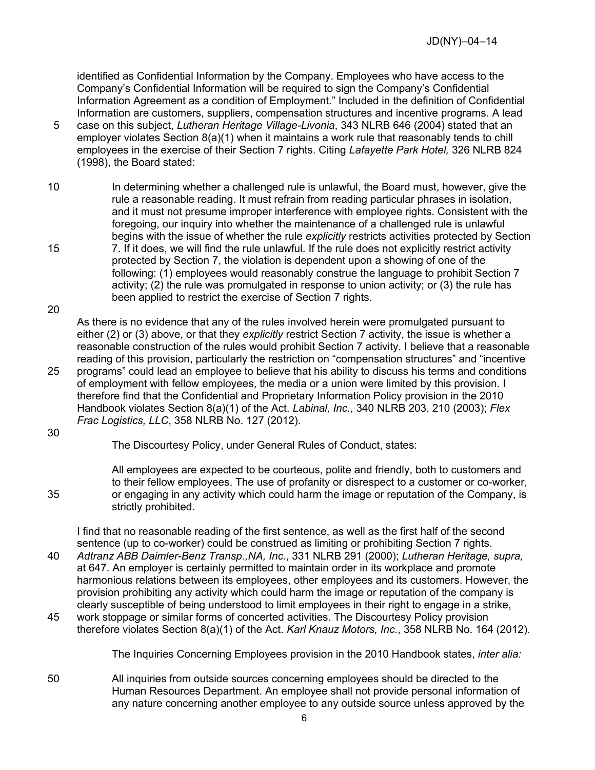identified as Confidential Information by the Company. Employees who have access to the Company's Confidential Information will be required to sign the Company's Confidential Information Agreement as a condition of Employment." Included in the definition of Confidential Information are customers, suppliers, compensation structures and incentive programs. A lead

- 5 case on this subject, *Lutheran Heritage Village-Livonia*, 343 NLRB 646 (2004) stated that an employer violates Section 8(a)(1) when it maintains a work rule that reasonably tends to chill employees in the exercise of their Section 7 rights. Citing *Lafayette Park Hotel,* 326 NLRB 824 (1998), the Board stated:
- 10 In determining whether a challenged rule is unlawful, the Board must, however, give the rule a reasonable reading. It must refrain from reading particular phrases in isolation, and it must not presume improper interference with employee rights. Consistent with the foregoing, our inquiry into whether the maintenance of a challenged rule is unlawful begins with the issue of whether the rule *explicitly* restricts activities protected by Section
- 15 7. If it does, we will find the rule unlawful. If the rule does not explicitly restrict activity protected by Section 7, the violation is dependent upon a showing of one of the following: (1) employees would reasonably construe the language to prohibit Section 7 activity; (2) the rule was promulgated in response to union activity; or (3) the rule has been applied to restrict the exercise of Section 7 rights.

20

As there is no evidence that any of the rules involved herein were promulgated pursuant to either (2) or (3) above, or that they *explicitly* restrict Section 7 activity, the issue is whether a reasonable construction of the rules would prohibit Section 7 activity. I believe that a reasonable reading of this provision, particularly the restriction on "compensation structures" and "incentive

25 programs" could lead an employee to believe that his ability to discuss his terms and conditions of employment with fellow employees, the media or a union were limited by this provision. I therefore find that the Confidential and Proprietary Information Policy provision in the 2010 Handbook violates Section 8(a)(1) of the Act. *Labinal, Inc.*, 340 NLRB 203, 210 (2003); *Flex Frac Logistics, LLC*, 358 NLRB No. 127 (2012).

30

The Discourtesy Policy, under General Rules of Conduct, states:

All employees are expected to be courteous, polite and friendly, both to customers and to their fellow employees. The use of profanity or disrespect to a customer or co-worker, 35 or engaging in any activity which could harm the image or reputation of the Company, is strictly prohibited.

I find that no reasonable reading of the first sentence, as well as the first half of the second sentence (up to co-worker) could be construed as limiting or prohibiting Section 7 rights. 40 *Adtranz ABB Daimler-Benz Transp.,NA, Inc.*, 331 NLRB 291 (2000); *Lutheran Heritage, supra,*  at 647. An employer is certainly permitted to maintain order in its workplace and promote

- harmonious relations between its employees, other employees and its customers. However, the provision prohibiting any activity which could harm the image or reputation of the company is clearly susceptible of being understood to limit employees in their right to engage in a strike, 45 work stoppage or similar forms of concerted activities. The Discourtesy Policy provision
	- therefore violates Section 8(a)(1) of the Act. *Karl Knauz Motors, Inc.*, 358 NLRB No. 164 (2012).

The Inquiries Concerning Employees provision in the 2010 Handbook states, *inter alia:*

50 All inquiries from outside sources concerning employees should be directed to the Human Resources Department. An employee shall not provide personal information of any nature concerning another employee to any outside source unless approved by the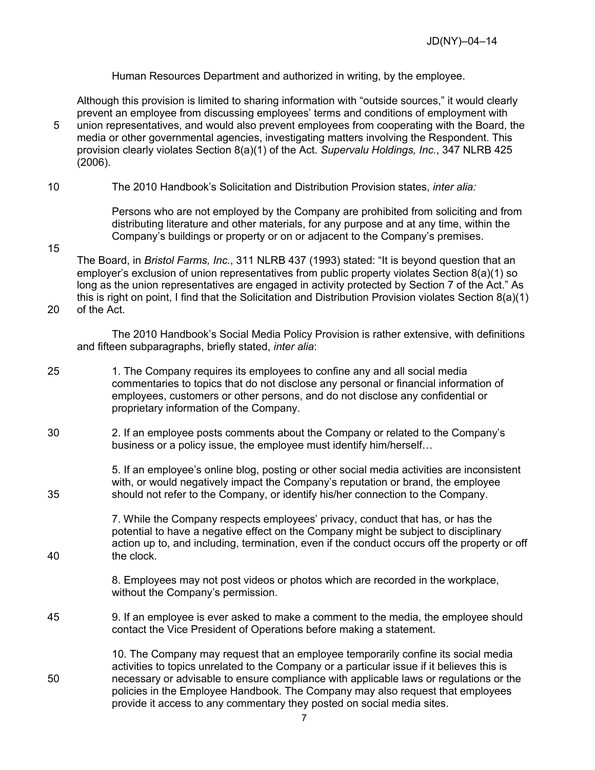Human Resources Department and authorized in writing, by the employee.

Although this provision is limited to sharing information with "outside sources," it would clearly prevent an employee from discussing employees' terms and conditions of employment with 5 union representatives, and would also prevent employees from cooperating with the Board, the media or other governmental agencies, investigating matters involving the Respondent. This provision clearly violates Section 8(a)(1) of the Act. *Supervalu Holdings, Inc.*, 347 NLRB 425 (2006).

10 The 2010 Handbook's Solicitation and Distribution Provision states, *inter alia:*

15

Persons who are not employed by the Company are prohibited from soliciting and from distributing literature and other materials, for any purpose and at any time, within the Company's buildings or property or on or adjacent to the Company's premises.

The Board, in *Bristol Farms, Inc.*, 311 NLRB 437 (1993) stated: "It is beyond question that an employer's exclusion of union representatives from public property violates Section 8(a)(1) so long as the union representatives are engaged in activity protected by Section 7 of the Act." As this is right on point, I find that the Solicitation and Distribution Provision violates Section 8(a)(1) 20 of the Act.

The 2010 Handbook's Social Media Policy Provision is rather extensive, with definitions and fifteen subparagraphs, briefly stated, *inter alia*:

- 25 1. The Company requires its employees to confine any and all social media commentaries to topics that do not disclose any personal or financial information of employees, customers or other persons, and do not disclose any confidential or proprietary information of the Company.
- 30 2. If an employee posts comments about the Company or related to the Company's business or a policy issue, the employee must identify him/herself…

5. If an employee's online blog, posting or other social media activities are inconsistent with, or would negatively impact the Company's reputation or brand, the employee 35 should not refer to the Company, or identify his/her connection to the Company.

7. While the Company respects employees' privacy, conduct that has, or has the potential to have a negative effect on the Company might be subject to disciplinary action up to, and including, termination, even if the conduct occurs off the property or off 40 the clock.

> 8. Employees may not post videos or photos which are recorded in the workplace, without the Company's permission.

45 9. If an employee is ever asked to make a comment to the media, the employee should contact the Vice President of Operations before making a statement.

10. The Company may request that an employee temporarily confine its social media activities to topics unrelated to the Company or a particular issue if it believes this is 50 necessary or advisable to ensure compliance with applicable laws or regulations or the policies in the Employee Handbook. The Company may also request that employees provide it access to any commentary they posted on social media sites.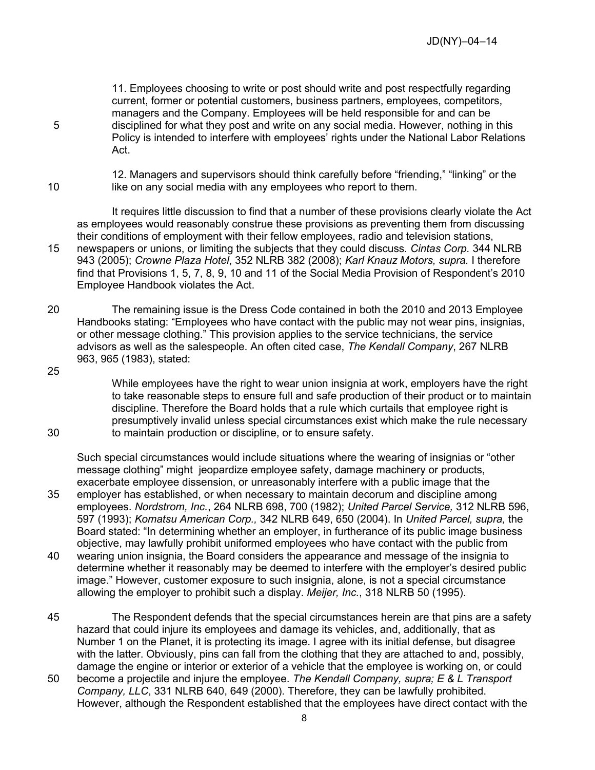11. Employees choosing to write or post should write and post respectfully regarding current, former or potential customers, business partners, employees, competitors, managers and the Company. Employees will be held responsible for and can be 5 disciplined for what they post and write on any social media. However, nothing in this Policy is intended to interfere with employees' rights under the National Labor Relations Act.

12. Managers and supervisors should think carefully before "friending," "linking" or the 10 like on any social media with any employees who report to them.

It requires little discussion to find that a number of these provisions clearly violate the Act as employees would reasonably construe these provisions as preventing them from discussing their conditions of employment with their fellow employees, radio and television stations, 15 newspapers or unions, or limiting the subjects that they could discuss. *Cintas Corp.* 344 NLRB 943 (2005); *Crowne Plaza Hotel*, 352 NLRB 382 (2008); *Karl Knauz Motors, supra.* I therefore find that Provisions 1, 5, 7, 8, 9, 10 and 11 of the Social Media Provision of Respondent's 2010

Employee Handbook violates the Act. 20 The remaining issue is the Dress Code contained in both the 2010 and 2013 Employee Handbooks stating: "Employees who have contact with the public may not wear pins, insignias, or other message clothing." This provision applies to the service technicians, the service advisors as well as the salespeople. An often cited case, *The Kendall Company*, 267 NLRB

25

963, 965 (1983), stated:

While employees have the right to wear union insignia at work, employers have the right to take reasonable steps to ensure full and safe production of their product or to maintain discipline. Therefore the Board holds that a rule which curtails that employee right is presumptively invalid unless special circumstances exist which make the rule necessary 30 to maintain production or discipline, or to ensure safety.

Such special circumstances would include situations where the wearing of insignias or "other message clothing" might jeopardize employee safety, damage machinery or products, exacerbate employee dissension, or unreasonably interfere with a public image that the

- 35 employer has established, or when necessary to maintain decorum and discipline among employees. *Nordstrom, Inc.*, 264 NLRB 698, 700 (1982); *United Parcel Service,* 312 NLRB 596, 597 (1993); *Komatsu American Corp.,* 342 NLRB 649, 650 (2004). In *United Parcel, supra,* the Board stated: "In determining whether an employer, in furtherance of its public image business objective, may lawfully prohibit uniformed employees who have contact with the public from
- 40 wearing union insignia, the Board considers the appearance and message of the insignia to determine whether it reasonably may be deemed to interfere with the employer's desired public image." However, customer exposure to such insignia, alone, is not a special circumstance allowing the employer to prohibit such a display. *Meijer, Inc.*, 318 NLRB 50 (1995).
- 45 The Respondent defends that the special circumstances herein are that pins are a safety hazard that could injure its employees and damage its vehicles, and, additionally, that as Number 1 on the Planet, it is protecting its image. I agree with its initial defense, but disagree with the latter. Obviously, pins can fall from the clothing that they are attached to and, possibly, damage the engine or interior or exterior of a vehicle that the employee is working on, or could
- 50 become a projectile and injure the employee. *The Kendall Company, supra; E & L Transport Company, LLC*, 331 NLRB 640, 649 (2000)*.* Therefore, they can be lawfully prohibited. However, although the Respondent established that the employees have direct contact with the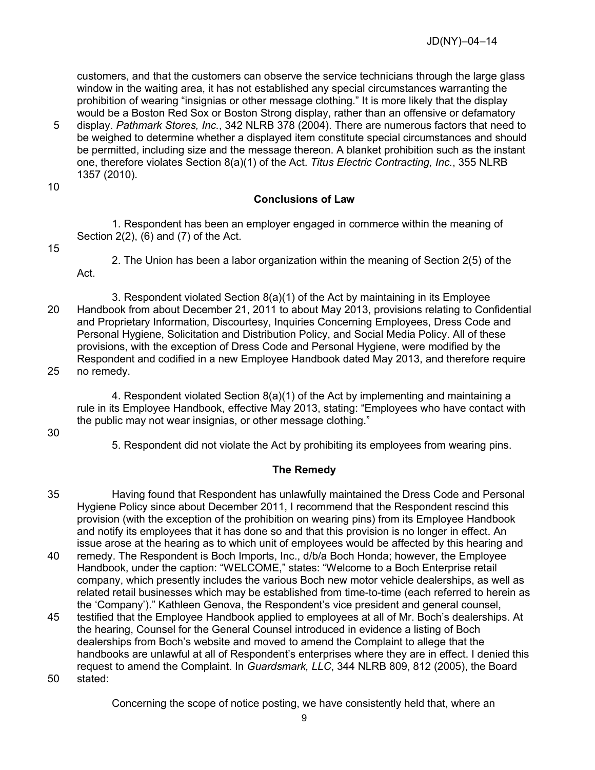customers, and that the customers can observe the service technicians through the large glass window in the waiting area, it has not established any special circumstances warranting the prohibition of wearing "insignias or other message clothing." It is more likely that the display would be a Boston Red Sox or Boston Strong display, rather than an offensive or defamatory

5 display. *Pathmark Stores, Inc.*, 342 NLRB 378 (2004). There are numerous factors that need to be weighed to determine whether a displayed item constitute special circumstances and should be permitted, including size and the message thereon. A blanket prohibition such as the instant one, therefore violates Section 8(a)(1) of the Act. *Titus Electric Contracting, Inc.*, 355 NLRB 1357 (2010).

10

# **Conclusions of Law**

1. Respondent has been an employer engaged in commerce within the meaning of Section 2(2), (6) and (7) of the Act.

15

2. The Union has been a labor organization within the meaning of Section 2(5) of the Act.

3. Respondent violated Section 8(a)(1) of the Act by maintaining in its Employee 20 Handbook from about December 21, 2011 to about May 2013, provisions relating to Confidential and Proprietary Information, Discourtesy, Inquiries Concerning Employees, Dress Code and Personal Hygiene, Solicitation and Distribution Policy, and Social Media Policy. All of these provisions, with the exception of Dress Code and Personal Hygiene, were modified by the Respondent and codified in a new Employee Handbook dated May 2013, and therefore require 25 no remedy.

4. Respondent violated Section 8(a)(1) of the Act by implementing and maintaining a rule in its Employee Handbook, effective May 2013, stating: "Employees who have contact with the public may not wear insignias, or other message clothing."

30

5. Respondent did not violate the Act by prohibiting its employees from wearing pins.

## **The Remedy**

- 35 Having found that Respondent has unlawfully maintained the Dress Code and Personal Hygiene Policy since about December 2011, I recommend that the Respondent rescind this provision (with the exception of the prohibition on wearing pins) from its Employee Handbook and notify its employees that it has done so and that this provision is no longer in effect. An issue arose at the hearing as to which unit of employees would be affected by this hearing and
- 40 remedy. The Respondent is Boch Imports, Inc., d/b/a Boch Honda; however, the Employee Handbook, under the caption: "WELCOME," states: "Welcome to a Boch Enterprise retail company, which presently includes the various Boch new motor vehicle dealerships, as well as related retail businesses which may be established from time-to-time (each referred to herein as the 'Company')." Kathleen Genova, the Respondent's vice president and general counsel,
- 45 testified that the Employee Handbook applied to employees at all of Mr. Boch's dealerships. At the hearing, Counsel for the General Counsel introduced in evidence a listing of Boch dealerships from Boch's website and moved to amend the Complaint to allege that the handbooks are unlawful at all of Respondent's enterprises where they are in effect. I denied this request to amend the Complaint. In *Guardsmark, LLC*, 344 NLRB 809, 812 (2005), the Board 50 stated:

Concerning the scope of notice posting, we have consistently held that, where an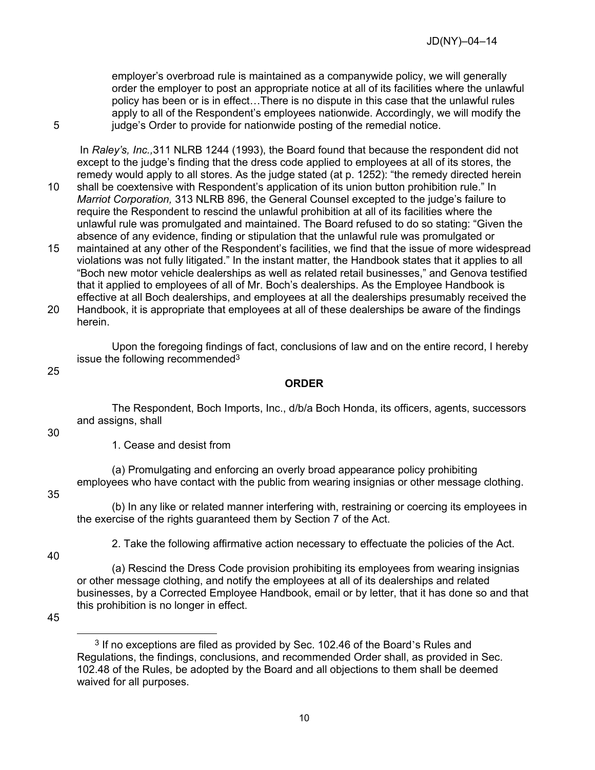employer's overbroad rule is maintained as a companywide policy, we will generally order the employer to post an appropriate notice at all of its facilities where the unlawful policy has been or is in effect…There is no dispute in this case that the unlawful rules apply to all of the Respondent's employees nationwide. Accordingly, we will modify the 5 iudge's Order to provide for nationwide posting of the remedial notice.

In *Raley's, Inc.,*311 NLRB 1244 (1993), the Board found that because the respondent did not except to the judge's finding that the dress code applied to employees at all of its stores, the remedy would apply to all stores. As the judge stated (at p. 1252): "the remedy directed herein

- 10 shall be coextensive with Respondent's application of its union button prohibition rule." In *Marriot Corporation,* 313 NLRB 896, the General Counsel excepted to the judge's failure to require the Respondent to rescind the unlawful prohibition at all of its facilities where the unlawful rule was promulgated and maintained. The Board refused to do so stating: "Given the absence of any evidence, finding or stipulation that the unlawful rule was promulgated or
- 15 maintained at any other of the Respondent's facilities, we find that the issue of more widespread violations was not fully litigated." In the instant matter, the Handbook states that it applies to all "Boch new motor vehicle dealerships as well as related retail businesses," and Genova testified that it applied to employees of all of Mr. Boch's dealerships. As the Employee Handbook is effective at all Boch dealerships, and employees at all the dealerships presumably received the 20 Handbook, it is appropriate that employees at all of these dealerships be aware of the findings
- herein.

Upon the foregoing findings of fact, conclusions of law and on the entire record, I hereby issue the following recommended[3](#page-9-0)

### 25

## **ORDER**

The Respondent, Boch Imports, Inc., d/b/a Boch Honda, its officers, agents, successors and assigns, shall

30

1. Cease and desist from

(a) Promulgating and enforcing an overly broad appearance policy prohibiting employees who have contact with the public from wearing insignias or other message clothing.

#### 35

(b) In any like or related manner interfering with, restraining or coercing its employees in the exercise of the rights guaranteed them by Section 7 of the Act.

40

2. Take the following affirmative action necessary to effectuate the policies of the Act.

(a) Rescind the Dress Code provision prohibiting its employees from wearing insignias or other message clothing, and notify the employees at all of its dealerships and related businesses, by a Corrected Employee Handbook, email or by letter, that it has done so and that this prohibition is no longer in effect.

<span id="page-9-0"></span>45

<sup>3</sup> If no exceptions are filed as provided by Sec. 102.46 of the Board's Rules and Regulations, the findings, conclusions, and recommended Order shall, as provided in Sec. 102.48 of the Rules, be adopted by the Board and all objections to them shall be deemed waived for all purposes.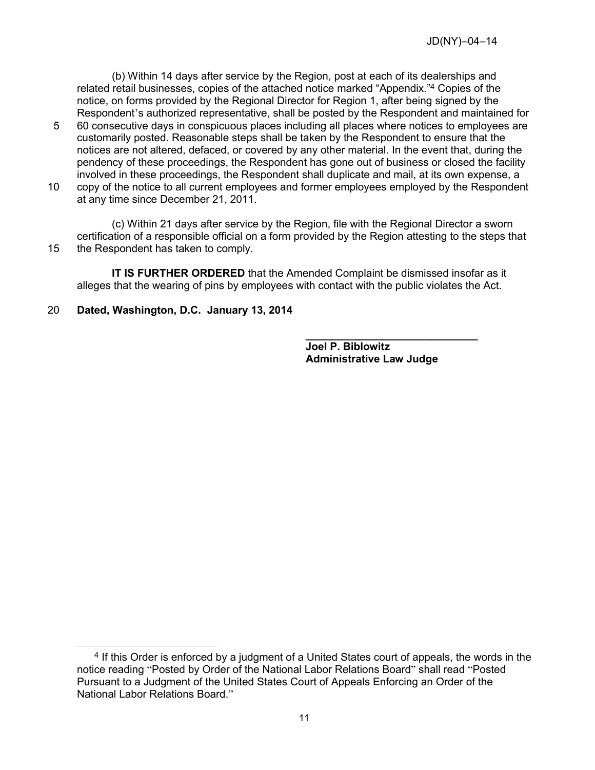(b) Within 14 days after service by the Region, post at each of its dealerships and related retail businesses, copies of the attached notice marked "Appendix."<sup>[4](#page-10-0)</sup> Copies of the notice, on forms provided by the Regional Director for Region 1, after being signed by the Respondent's authorized representative, shall be posted by the Respondent and maintained for

- 5 60 consecutive days in conspicuous places including all places where notices to employees are customarily posted. Reasonable steps shall be taken by the Respondent to ensure that the notices are not altered, defaced, or covered by any other material. In the event that, during the pendency of these proceedings, the Respondent has gone out of business or closed the facility involved in these proceedings, the Respondent shall duplicate and mail, at its own expense, a
- 10 copy of the notice to all current employees and former employees employed by the Respondent at any time since December 21, 2011.

(c) Within 21 days after service by the Region, file with the Regional Director a sworn certification of a responsible official on a form provided by the Region attesting to the steps that 15 the Respondent has taken to comply.

**IT IS FURTHER ORDERED** that the Amended Complaint be dismissed insofar as it alleges that the wearing of pins by employees with contact with the public violates the Act.

 **\_\_\_\_\_\_\_\_\_\_\_\_\_\_\_\_\_\_\_\_\_\_\_\_\_\_\_\_\_** 

# 20 **Dated, Washington, D.C. January 13, 2014**

**Joel P. Biblowitz Administrative Law Judge**

<span id="page-10-0"></span> <sup>4</sup> If this Order is enforced by a judgment of a United States court of appeals, the words in the notice reading "Posted by Order of the National Labor Relations Board" shall read "Posted Pursuant to a Judgment of the United States Court of Appeals Enforcing an Order of the National Labor Relations Board."